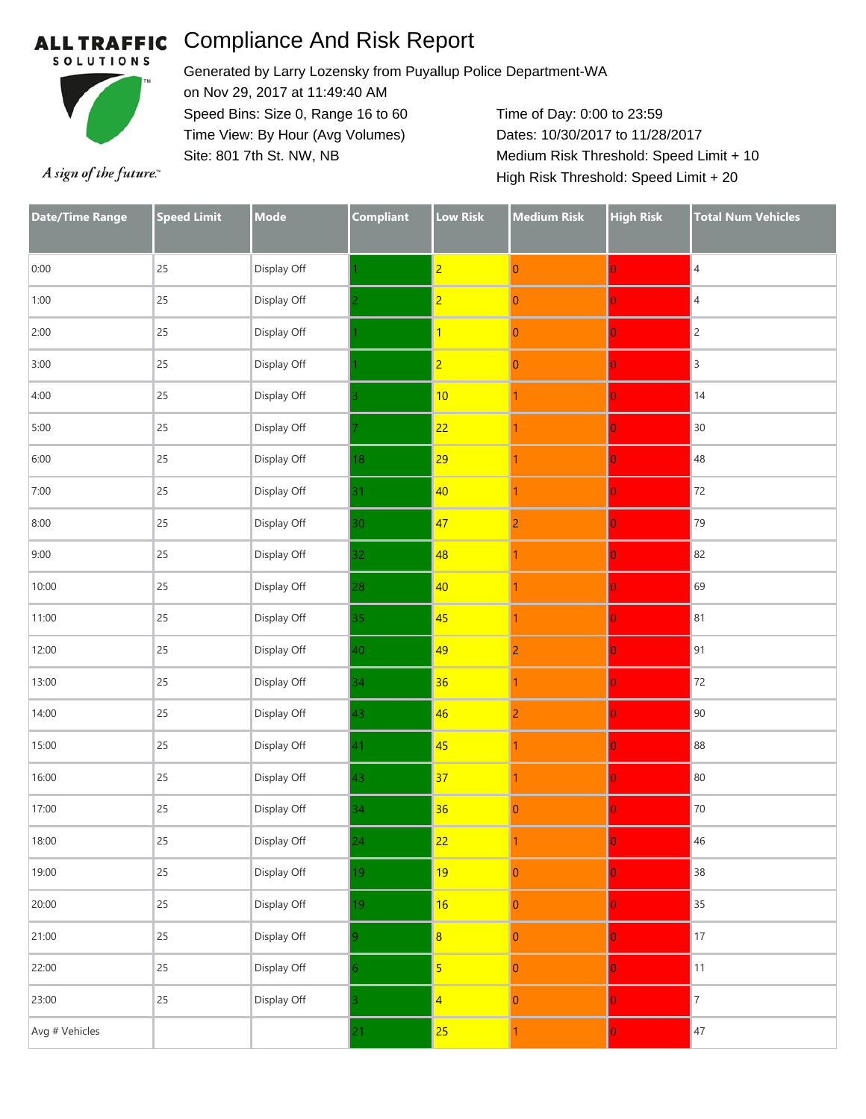### **ALL TRAFFIC**

# Compliance And Risk Report



Generated by Larry Lozensky from Puyallup Police Department-WA on Nov 29, 2017 at 11:49:40 AM Speed Bins: Size 0, Range 16 to 60 Time View: By Hour (Avg Volumes) Site: 801 7th St. NW, NB

Time of Day: 0:00 to 23:59 Dates: 10/30/2017 to 11/28/2017 Medium Risk Threshold: Speed Limit + 10 High Risk Threshold: Speed Limit + 20

A sign of the future."

| <b>Date/Time Range</b> | <b>Speed Limit</b> | <b>Mode</b> | <b>Compliant</b> | <b>Low Risk</b> | <b>Medium Risk</b> | <b>High Risk</b> | <b>Total Num Vehicles</b> |
|------------------------|--------------------|-------------|------------------|-----------------|--------------------|------------------|---------------------------|
| 0:00                   | 25                 | Display Off |                  | $\overline{2}$  | $\pmb{0}$          | $\overline{0}$   | $\overline{4}$            |
| 1:00                   | 25                 | Display Off |                  | $\overline{2}$  | $\boldsymbol{0}$   | $\overline{0}$   | $\overline{4}$            |
| 2:00                   | 25                 | Display Off |                  | $\mathbf{1}$    | $\boldsymbol{0}$   | $\overline{0}$   | $\overline{c}$            |
| 3:00                   | 25                 | Display Off |                  | $\overline{2}$  | $\pmb{0}$          | $\overline{0}$   | $\overline{3}$            |
| 4:00                   | 25                 | Display Off |                  | 10              | 1                  | $\overline{0}$   | 14                        |
| 5:00                   | 25                 | Display Off |                  | 22              | 1                  | $\overline{0}$   | 30                        |
| 6:00                   | 25                 | Display Off | 18 <sup>°</sup>  | 29              | 1                  | $\overline{0}$   | 48                        |
| 7:00                   | 25                 | Display Off | 31               | 40              | 1                  | $\overline{0}$   | 72                        |
| 8:00                   | 25                 | Display Off | 30               | 47              | $\overline{2}$     | $\overline{0}$   | 79                        |
| 9:00                   | 25                 | Display Off | 32               | 48              | 1                  | $\overline{0}$   | 82                        |
| 10:00                  | 25                 | Display Off | 28               | 40              | 1                  | $\overline{0}$   | 69                        |
| 11:00                  | 25                 | Display Off | 35               | 45              | 1                  | $\overline{0}$   | 81                        |
| 12:00                  | 25                 | Display Off | 40               | 49              | $\overline{2}$     | $\overline{0}$   | 91                        |
| 13:00                  | 25                 | Display Off | 34               | 36              | 1                  | $\overline{0}$   | 72                        |
| 14:00                  | 25                 | Display Off | 43               | 46              | $\overline{2}$     | $\overline{0}$   | 90                        |
| 15:00                  | 25                 | Display Off | 41               | 45              | 1                  | $\overline{0}$   | 88                        |
| 16:00                  | 25                 | Display Off | 43               | 37              | 1                  | $\overline{0}$   | 80                        |
| 17:00                  | 25                 | Display Off | 34               | 36              | $\mathbf{0}$       | $\overline{0}$   | 70                        |
| 18:00                  | 25                 | Display Off | 24 <sub>1</sub>  | 22              | 1                  | $\mathbf{0}$     | 46                        |
| 19:00                  | 25                 | Display Off | 19               | 19              | $\pmb{0}$          | $\overline{0}$   | 38                        |
| 20:00                  | 25                 | Display Off | 19               | 16              | $\pmb{0}$          | $\overline{0}$   | 35                        |
| 21:00                  | 25                 | Display Off | 9.               | $\overline{8}$  | $\pmb{0}$          | $\overline{0}$   | $17\,$                    |
| 22:00                  | 25                 | Display Off | 6.               | $\overline{5}$  | $\mathbf{0}$       | $\overline{0}$   | 11                        |
| 23:00                  | 25                 | Display Off |                  | $\overline{4}$  | $\pmb{0}$          | $\overline{0}$   | $\boldsymbol{7}$          |
| Avg # Vehicles         |                    |             | 21               | 25              | 1                  | $\overline{0}$   | 47                        |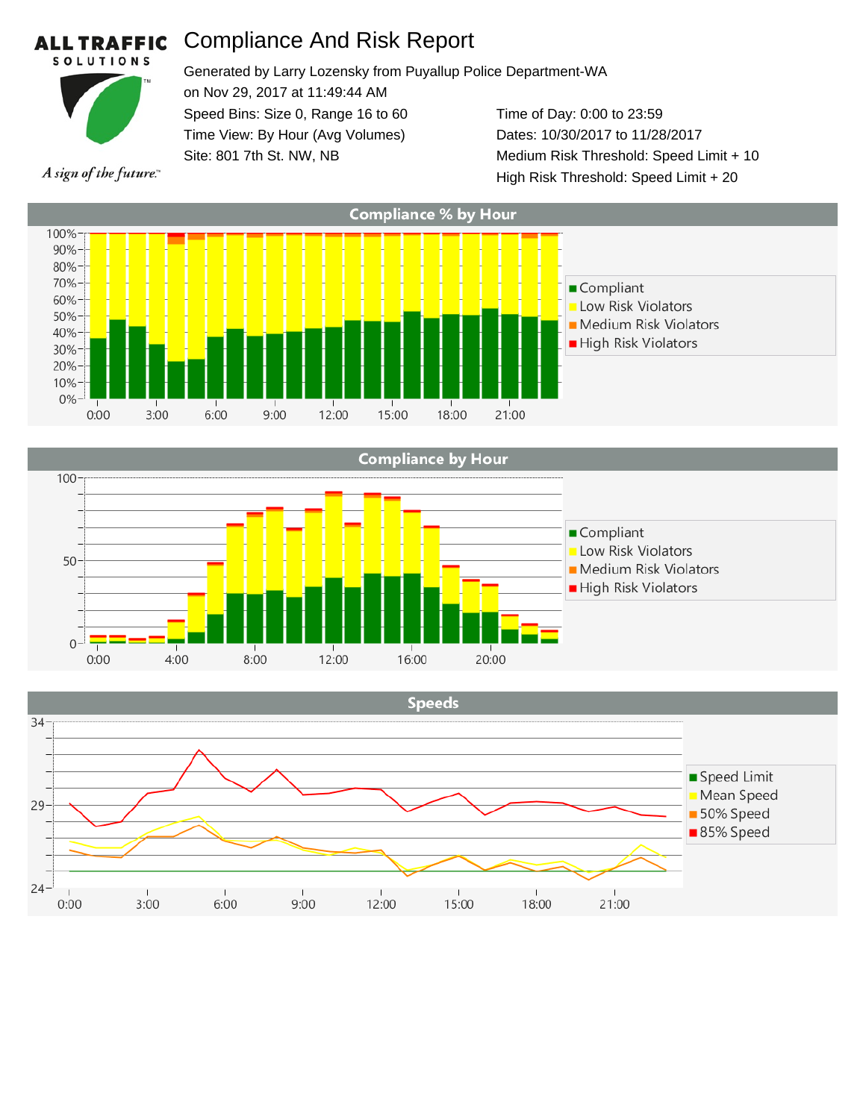#### Compliance And Risk Report **L TRAFFIC SOLUTIONS**



AL

Generated by Larry Lozensky from Puyallup Police Department-WA on Nov 29, 2017 at 11:49:44 AM Speed Bins: Size 0, Range 16 to 60 Time View: By Hour (Avg Volumes) Site: 801 7th St. NW, NB Time of Day: 0:00 to 23:59 Dates: 10/30/2017 to 11/28/2017 Medium Risk Threshold: Speed Limit + 10

A sign of the future."

**Compliance % by Hour** 100% 90% 80% 70% Compliant 60% Low Risk Violators 50%-Medium Risk Violators 40% High Risk Violators 30% 20% 10% 0%  $3:00$  $6:00$  $9:00$ 15:00 18:00  $0:00$ 12:00 21:00

High Risk Threshold: Speed Limit + 20